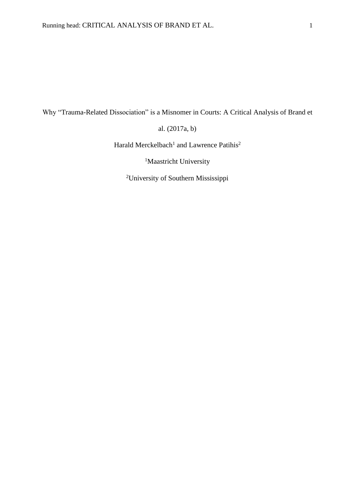Why "Trauma-Related Dissociation" is a Misnomer in Courts: A Critical Analysis of Brand et

al. (2017a, b)

Harald Merckelbach<sup>1</sup> and Lawrence Patihis<sup>2</sup>

<sup>1</sup>Maastricht University

2University of Southern Mississippi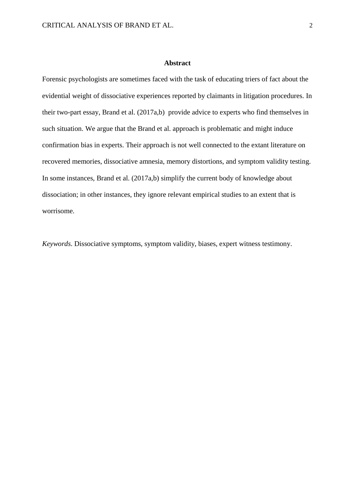### **Abstract**

Forensic psychologists are sometimes faced with the task of educating triers of fact about the evidential weight of dissociative experiences reported by claimants in litigation procedures. In their two-part essay, Brand et al. (2017a,b) provide advice to experts who find themselves in such situation. We argue that the Brand et al. approach is problematic and might induce confirmation bias in experts. Their approach is not well connected to the extant literature on recovered memories, dissociative amnesia, memory distortions, and symptom validity testing. In some instances, Brand et al. (2017a,b) simplify the current body of knowledge about dissociation; in other instances, they ignore relevant empirical studies to an extent that is worrisome.

*Keywords*. Dissociative symptoms, symptom validity, biases, expert witness testimony.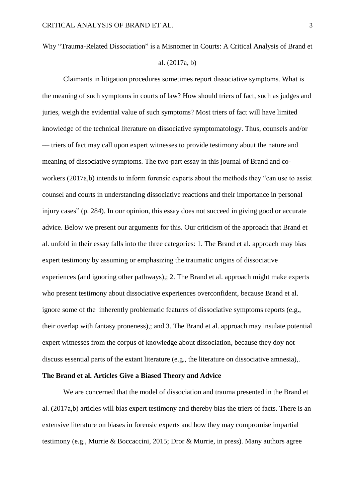# Why "Trauma-Related Dissociation" is a Misnomer in Courts: A Critical Analysis of Brand et al. (2017a, b)

Claimants in litigation procedures sometimes report dissociative symptoms. What is the meaning of such symptoms in courts of law? How should triers of fact, such as judges and juries, weigh the evidential value of such symptoms? Most triers of fact will have limited knowledge of the technical literature on dissociative symptomatology. Thus, counsels and/or –– triers of fact may call upon expert witnesses to provide testimony about the nature and meaning of dissociative symptoms. The two-part essay in this journal of Brand and coworkers (2017a,b) intends to inform forensic experts about the methods they "can use to assist counsel and courts in understanding dissociative reactions and their importance in personal injury cases" (p. 284). In our opinion, this essay does not succeed in giving good or accurate advice. Below we present our arguments for this. Our criticism of the approach that Brand et al. unfold in their essay falls into the three categories: 1. The Brand et al. approach may bias expert testimony by assuming or emphasizing the traumatic origins of dissociative experiences (and ignoring other pathways),; 2. The Brand et al. approach might make experts who present testimony about dissociative experiences overconfident, because Brand et al. ignore some of the inherently problematic features of dissociative symptoms reports (e.g., their overlap with fantasy proneness),; and 3. The Brand et al. approach may insulate potential expert witnesses from the corpus of knowledge about dissociation, because they doy not discuss essential parts of the extant literature (e.g., the literature on dissociative amnesia),.

## **The Brand et al. Articles Give a Biased Theory and Advice**

We are concerned that the model of dissociation and trauma presented in the Brand et al. (2017a,b) articles will bias expert testimony and thereby bias the triers of facts. There is an extensive literature on biases in forensic experts and how they may compromise impartial testimony (e.g., Murrie & Boccaccini, 2015; Dror & Murrie, in press). Many authors agree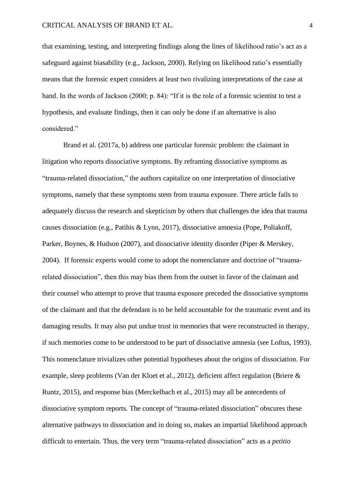that examining, testing, and interpreting findings along the lines of likelihood ratio's act as a safeguard against biasability (e.g., Jackson, 2000). Relying on likelihood ratio's essentially means that the forensic expert considers at least two rivalizing interpretations of the case at hand. In the words of Jackson (2000; p. 84): "If it is the role of a forensic scientist to test a hypothesis, and evaluate findings, then it can only be done if an alternative is also considered."

Brand et al. (2017a, b) address one particular forensic problem: the claimant in litigation who reports dissociative symptoms. By reframing dissociative symptoms as "trauma-related dissociation," the authors capitalize on one interpretation of dissociative symptoms, namely that these symptoms stem from trauma exposure. There article fails to adequately discuss the research and skepticism by others that challenges the idea that trauma causes dissociation (e.g., Patihis & Lynn, 2017), dissociative amnesia (Pope, Poliakoff, Parker, Boynes, & Hudson (2007), and dissociative identity disorder (Piper & Merskey, 2004). If forensic experts would come to adopt the nomenclature and doctrine of "traumarelated dissociation", then this may bias them from the outset in favor of the claimant and their counsel who attempt to prove that trauma exposure preceded the dissociative symptoms of the claimant and that the defendant is to be held accountable for the traumatic event and its damaging results. It may also put undue trust in memories that were reconstructed in therapy, if such memories come to be understood to be part of dissociative amnesia (see Loftus, 1993). This nomenclature trivializes other potential hypotheses about the origins of dissociation. For example, sleep problems (Van der Kloet et al., 2012), deficient affect regulation (Briere & Runtz, 2015), and response bias (Merckelbach et al., 2015) may all be antecedents of dissociative symptom reports. The concept of "trauma-related dissociation" obscures these alternative pathways to dissociation and in doing so, makes an impartial likelihood approach difficult to entertain. Thus, the very term "trauma-related dissociation" acts as a *petitio*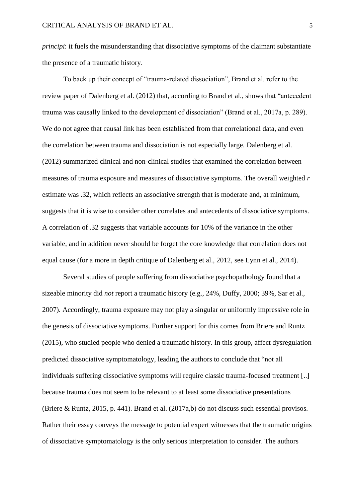*principi*: it fuels the misunderstanding that dissociative symptoms of the claimant substantiate the presence of a traumatic history.

To back up their concept of "trauma-related dissociation", Brand et al. refer to the review paper of Dalenberg et al. (2012) that, according to Brand et al., shows that "antecedent trauma was causally linked to the development of dissociation" (Brand et al., 2017a, p. 289). We do not agree that causal link has been established from that correlational data, and even the correlation between trauma and dissociation is not especially large. Dalenberg et al. (2012) summarized clinical and non-clinical studies that examined the correlation between measures of trauma exposure and measures of dissociative symptoms. The overall weighted *r* estimate was .32, which reflects an associative strength that is moderate and, at minimum, suggests that it is wise to consider other correlates and antecedents of dissociative symptoms. A correlation of .32 suggests that variable accounts for 10% of the variance in the other variable, and in addition never should be forget the core knowledge that correlation does not equal cause (for a more in depth critique of Dalenberg et al., 2012, see Lynn et al., 2014).

Several studies of people suffering from dissociative psychopathology found that a sizeable minority did *not* report a traumatic history (e.g., 24%, Duffy, 2000; 39%, Sar et al., 2007). Accordingly, trauma exposure may not play a singular or uniformly impressive role in the genesis of dissociative symptoms. Further support for this comes from Briere and Runtz (2015), who studied people who denied a traumatic history. In this group, affect dysregulation predicted dissociative symptomatology, leading the authors to conclude that "not all individuals suffering dissociative symptoms will require classic trauma-focused treatment [..] because trauma does not seem to be relevant to at least some dissociative presentations (Briere & Runtz, 2015, p. 441). Brand et al. (2017a,b) do not discuss such essential provisos. Rather their essay conveys the message to potential expert witnesses that the traumatic origins of dissociative symptomatology is the only serious interpretation to consider. The authors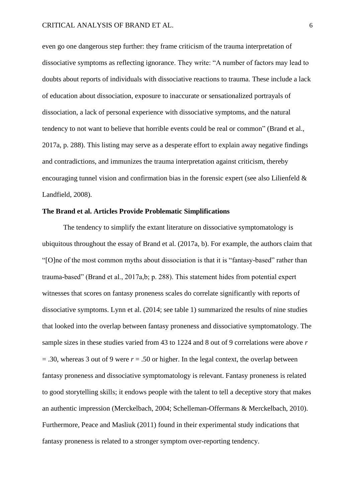even go one dangerous step further: they frame criticism of the trauma interpretation of dissociative symptoms as reflecting ignorance. They write: "A number of factors may lead to doubts about reports of individuals with dissociative reactions to trauma. These include a lack of education about dissociation, exposure to inaccurate or sensationalized portrayals of dissociation, a lack of personal experience with dissociative symptoms, and the natural tendency to not want to believe that horrible events could be real or common" (Brand et al., 2017a, p. 288). This listing may serve as a desperate effort to explain away negative findings and contradictions, and immunizes the trauma interpretation against criticism, thereby encouraging tunnel vision and confirmation bias in the forensic expert (see also Lilienfeld & Landfield, 2008).

### **The Brand et al. Articles Provide Problematic Simplifications**

The tendency to simplify the extant literature on dissociative symptomatology is ubiquitous throughout the essay of Brand et al. (2017a, b). For example, the authors claim that "[O]ne of the most common myths about dissociation is that it is "fantasy-based" rather than trauma-based" (Brand et al., 2017a,b; p. 288). This statement hides from potential expert witnesses that scores on fantasy proneness scales do correlate significantly with reports of dissociative symptoms. Lynn et al. (2014; see table 1) summarized the results of nine studies that looked into the overlap between fantasy proneness and dissociative symptomatology. The sample sizes in these studies varied from 43 to 1224 and 8 out of 9 correlations were above *r*  $=$  .30, whereas 3 out of 9 were  $r = .50$  or higher. In the legal context, the overlap between fantasy proneness and dissociative symptomatology is relevant. Fantasy proneness is related to good storytelling skills; it endows people with the talent to tell a deceptive story that makes an authentic impression (Merckelbach, 2004; Schelleman-Offermans & Merckelbach, 2010). Furthermore, Peace and Masliuk (2011) found in their experimental study indications that fantasy proneness is related to a stronger symptom over-reporting tendency.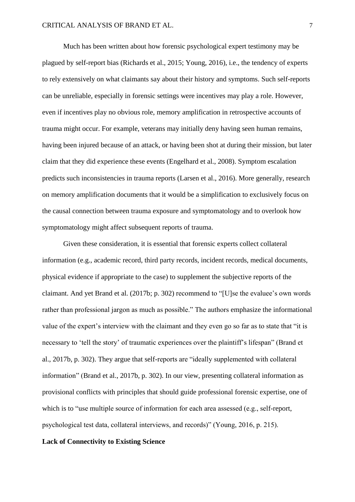Much has been written about how forensic psychological expert testimony may be plagued by self-report bias (Richards et al., 2015; Young, 2016), i.e., the tendency of experts to rely extensively on what claimants say about their history and symptoms. Such self-reports can be unreliable, especially in forensic settings were incentives may play a role. However, even if incentives play no obvious role, memory amplification in retrospective accounts of trauma might occur. For example, veterans may initially deny having seen human remains, having been injured because of an attack, or having been shot at during their mission, but later claim that they did experience these events (Engelhard et al., 2008). Symptom escalation predicts such inconsistencies in trauma reports (Larsen et al., 2016). More generally, research on memory amplification documents that it would be a simplification to exclusively focus on the causal connection between trauma exposure and symptomatology and to overlook how symptomatology might affect subsequent reports of trauma.

Given these consideration, it is essential that forensic experts collect collateral information (e.g., academic record, third party records, incident records, medical documents, physical evidence if appropriate to the case) to supplement the subjective reports of the claimant. And yet Brand et al. (2017b; p. 302) recommend to "[U]se the evaluee's own words rather than professional jargon as much as possible." The authors emphasize the informational value of the expert's interview with the claimant and they even go so far as to state that "it is necessary to 'tell the story' of traumatic experiences over the plaintiff's lifespan" (Brand et al., 2017b, p. 302). They argue that self-reports are "ideally supplemented with collateral information" (Brand et al., 2017b, p. 302). In our view, presenting collateral information as provisional conflicts with principles that should guide professional forensic expertise, one of which is to "use multiple source of information for each area assessed (e.g., self-report, psychological test data, collateral interviews, and records)" (Young, 2016, p. 215).

## **Lack of Connectivity to Existing Science**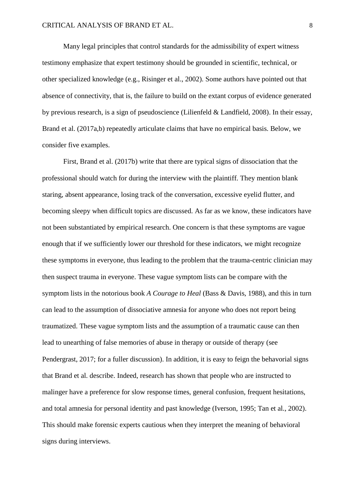Many legal principles that control standards for the admissibility of expert witness testimony emphasize that expert testimony should be grounded in scientific, technical, or other specialized knowledge (e.g., Risinger et al., 2002). Some authors have pointed out that absence of connectivity, that is, the failure to build on the extant corpus of evidence generated by previous research, is a sign of pseudoscience (Lilienfeld & Landfield, 2008). In their essay, Brand et al. (2017a,b) repeatedly articulate claims that have no empirical basis. Below, we consider five examples.

First, Brand et al. (2017b) write that there are typical signs of dissociation that the professional should watch for during the interview with the plaintiff. They mention blank staring, absent appearance, losing track of the conversation, excessive eyelid flutter, and becoming sleepy when difficult topics are discussed. As far as we know, these indicators have not been substantiated by empirical research. One concern is that these symptoms are vague enough that if we sufficiently lower our threshold for these indicators, we might recognize these symptoms in everyone, thus leading to the problem that the trauma-centric clinician may then suspect trauma in everyone. These vague symptom lists can be compare with the symptom lists in the notorious book *A Courage to Heal* (Bass & Davis, 1988), and this in turn can lead to the assumption of dissociative amnesia for anyone who does not report being traumatized. These vague symptom lists and the assumption of a traumatic cause can then lead to unearthing of false memories of abuse in therapy or outside of therapy (see Pendergrast, 2017; for a fuller discussion). In addition, it is easy to feign the behavorial signs that Brand et al. describe. Indeed, research has shown that people who are instructed to malinger have a preference for slow response times, general confusion, frequent hesitations, and total amnesia for personal identity and past knowledge (Iverson, 1995; Tan et al., 2002). This should make forensic experts cautious when they interpret the meaning of behavioral signs during interviews.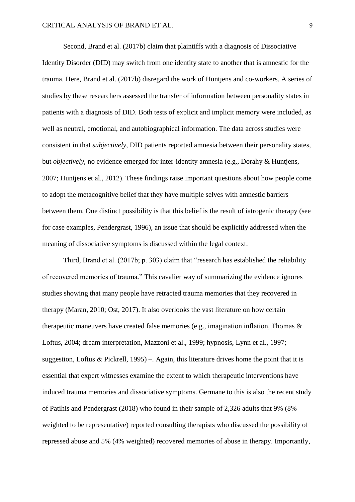Second, Brand et al. (2017b) claim that plaintiffs with a diagnosis of Dissociative Identity Disorder (DID) may switch from one identity state to another that is amnestic for the trauma. Here, Brand et al. (2017b) disregard the work of Huntjens and co-workers. A series of studies by these researchers assessed the transfer of information between personality states in patients with a diagnosis of DID. Both tests of explicit and implicit memory were included, as well as neutral, emotional, and autobiographical information. The data across studies were consistent in that *subjectively*, DID patients reported amnesia between their personality states, but *objectively*, no evidence emerged for inter-identity amnesia (e.g., Dorahy & Huntjens, 2007; Huntjens et al., 2012). These findings raise important questions about how people come to adopt the metacognitive belief that they have multiple selves with amnestic barriers between them. One distinct possibility is that this belief is the result of iatrogenic therapy (see for case examples, Pendergrast, 1996), an issue that should be explicitly addressed when the meaning of dissociative symptoms is discussed within the legal context.

Third, Brand et al. (2017b; p. 303) claim that "research has established the reliability of recovered memories of trauma." This cavalier way of summarizing the evidence ignores studies showing that many people have retracted trauma memories that they recovered in therapy (Maran, 2010; Ost, 2017). It also overlooks the vast literature on how certain therapeutic maneuvers have created false memories (e.g., imagination inflation, Thomas & Loftus, 2004; dream interpretation, Mazzoni et al., 1999; hypnosis, Lynn et al., 1997; suggestion, Loftus & Pickrell, 1995) –. Again, this literature drives home the point that it is essential that expert witnesses examine the extent to which therapeutic interventions have induced trauma memories and dissociative symptoms. Germane to this is also the recent study of Patihis and Pendergrast (2018) who found in their sample of 2,326 adults that 9% (8% weighted to be representative) reported consulting therapists who discussed the possibility of repressed abuse and 5% (4% weighted) recovered memories of abuse in therapy. Importantly,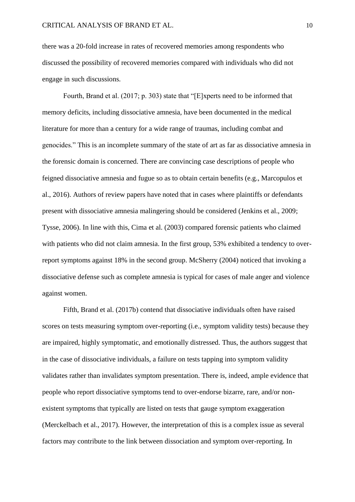there was a 20-fold increase in rates of recovered memories among respondents who discussed the possibility of recovered memories compared with individuals who did not engage in such discussions.

Fourth, Brand et al. (2017; p. 303) state that "[E]xperts need to be informed that memory deficits, including dissociative amnesia, have been documented in the medical literature for more than a century for a wide range of traumas, including combat and genocides." This is an incomplete summary of the state of art as far as dissociative amnesia in the forensic domain is concerned. There are convincing case descriptions of people who feigned dissociative amnesia and fugue so as to obtain certain benefits (e.g., Marcopulos et al., 2016). Authors of review papers have noted that in cases where plaintiffs or defendants present with dissociative amnesia malingering should be considered (Jenkins et al., 2009; Tysse, 2006). In line with this, Cima et al. (2003) compared forensic patients who claimed with patients who did not claim amnesia. In the first group, 53% exhibited a tendency to overreport symptoms against 18% in the second group. McSherry (2004) noticed that invoking a dissociative defense such as complete amnesia is typical for cases of male anger and violence against women.

Fifth, Brand et al. (2017b) contend that dissociative individuals often have raised scores on tests measuring symptom over-reporting (i.e., symptom validity tests) because they are impaired, highly symptomatic, and emotionally distressed. Thus, the authors suggest that in the case of dissociative individuals, a failure on tests tapping into symptom validity validates rather than invalidates symptom presentation. There is, indeed, ample evidence that people who report dissociative symptoms tend to over-endorse bizarre, rare, and/or nonexistent symptoms that typically are listed on tests that gauge symptom exaggeration (Merckelbach et al., 2017). However, the interpretation of this is a complex issue as several factors may contribute to the link between dissociation and symptom over-reporting. In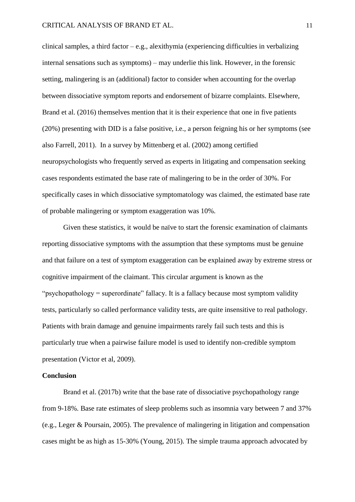clinical samples, a third factor – e.g., alexithymia (experiencing difficulties in verbalizing internal sensations such as symptoms) – may underlie this link. However, in the forensic setting, malingering is an (additional) factor to consider when accounting for the overlap between dissociative symptom reports and endorsement of bizarre complaints. Elsewhere, Brand et al. (2016) themselves mention that it is their experience that one in five patients (20%) presenting with DID is a false positive, i.e., a person feigning his or her symptoms (see also Farrell, 2011). In a survey by Mittenberg et al. (2002) among certified neuropsychologists who frequently served as experts in litigating and compensation seeking cases respondents estimated the base rate of malingering to be in the order of 30%. For specifically cases in which dissociative symptomatology was claimed, the estimated base rate of probable malingering or symptom exaggeration was 10%.

Given these statistics, it would be naïve to start the forensic examination of claimants reporting dissociative symptoms with the assumption that these symptoms must be genuine and that failure on a test of symptom exaggeration can be explained away by extreme stress or cognitive impairment of the claimant. This circular argument is known as the "psychopathology = superordinate" fallacy. It is a fallacy because most symptom validity tests, particularly so called performance validity tests, are quite insensitive to real pathology. Patients with brain damage and genuine impairments rarely fail such tests and this is particularly true when a pairwise failure model is used to identify non-credible symptom presentation (Victor et al, 2009).

## **Conclusion**

Brand et al. (2017b) write that the base rate of dissociative psychopathology range from 9-18%. Base rate estimates of sleep problems such as insomnia vary between 7 and 37% (e.g., Leger & Poursain, 2005). The prevalence of malingering in litigation and compensation cases might be as high as 15-30% (Young, 2015). The simple trauma approach advocated by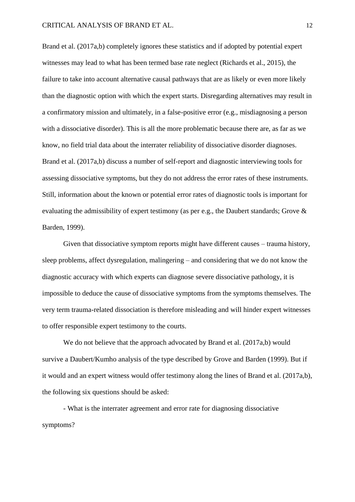Brand et al. (2017a,b) completely ignores these statistics and if adopted by potential expert witnesses may lead to what has been termed base rate neglect (Richards et al., 2015), the failure to take into account alternative causal pathways that are as likely or even more likely than the diagnostic option with which the expert starts. Disregarding alternatives may result in a confirmatory mission and ultimately, in a false-positive error (e.g., misdiagnosing a person with a dissociative disorder). This is all the more problematic because there are, as far as we know, no field trial data about the interrater reliability of dissociative disorder diagnoses. Brand et al. (2017a,b) discuss a number of self-report and diagnostic interviewing tools for assessing dissociative symptoms, but they do not address the error rates of these instruments. Still, information about the known or potential error rates of diagnostic tools is important for evaluating the admissibility of expert testimony (as per e.g., the Daubert standards; Grove & Barden, 1999).

Given that dissociative symptom reports might have different causes – trauma history, sleep problems, affect dysregulation, malingering – and considering that we do not know the diagnostic accuracy with which experts can diagnose severe dissociative pathology, it is impossible to deduce the cause of dissociative symptoms from the symptoms themselves. The very term trauma-related dissociation is therefore misleading and will hinder expert witnesses to offer responsible expert testimony to the courts.

We do not believe that the approach advocated by Brand et al. (2017a,b) would survive a Daubert/Kumho analysis of the type described by Grove and Barden (1999). But if it would and an expert witness would offer testimony along the lines of Brand et al. (2017a,b), the following six questions should be asked:

- What is the interrater agreement and error rate for diagnosing dissociative symptoms?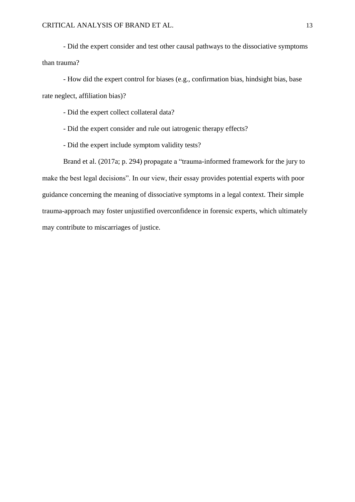- Did the expert consider and test other causal pathways to the dissociative symptoms than trauma?

- How did the expert control for biases (e.g., confirmation bias, hindsight bias, base rate neglect, affiliation bias)?

- Did the expert collect collateral data?

- Did the expert consider and rule out iatrogenic therapy effects?

- Did the expert include symptom validity tests?

Brand et al. (2017a; p. 294) propagate a "trauma-informed framework for the jury to make the best legal decisions". In our view, their essay provides potential experts with poor guidance concerning the meaning of dissociative symptoms in a legal context. Their simple trauma-approach may foster unjustified overconfidence in forensic experts, which ultimately may contribute to miscarriages of justice.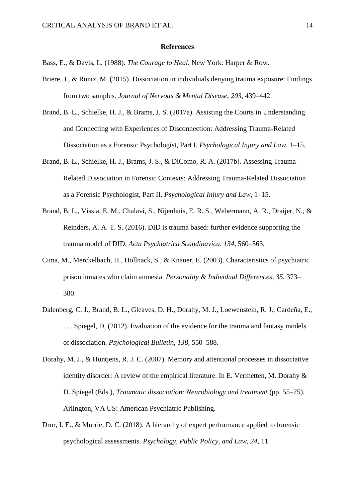#### **References**

- Bass, E., & Davis, L. (1988). *The Courage to Heal.* New York: Harper & Row.
- Briere, J., & Runtz, M. (2015). Dissociation in individuals denying trauma exposure: Findings from two samples. *Journal of Nervous & Mental Disease*, *203*, 439–442.
- Brand, B. L., Schielke, H. J., & Brams, J. S. (2017a). Assisting the Courts in Understanding and Connecting with Experiences of Disconnection: Addressing Trauma-Related Dissociation as a Forensic Psychologist, Part I. *Psychological Injury and Law*, 1–15.
- Brand, B. L., Schielke, H. J., Brams, J. S., & DiComo, R. A. (2017b). Assessing Trauma-Related Dissociation in Forensic Contexts: Addressing Trauma-Related Dissociation as a Forensic Psychologist, Part II. *Psychological Injury and Law*, 1–15.
- Brand, B. L., Vissia, E. M., Chalavi, S., Nijenhuis, E. R. S., Webermann, A. R., Draijer, N., & Reinders, A. A. T. S. (2016). DID is trauma based: further evidence supporting the trauma model of DID. *Acta Psychiatrica Scandinavica*, *134*, 560–563.
- Cima, M., Merckelbach, H., Hollnack, S., & Knauer, E. (2003). Characteristics of psychiatric prison inmates who claim amnesia. *Personality & Individual Differences*, *35*, 373– 380.
- Dalenberg, C. J., Brand, B. L., Gleaves, D. H., Dorahy, M. J., Loewenstein, R. J., Cardeña, E., . . . Spiegel, D. (2012). Evaluation of the evidence for the trauma and fantasy models of dissociation. *Psychological Bulletin*, *138*, 550–588.
- Dorahy, M. J., & Huntjens, R. J. C. (2007). Memory and attentional processes in dissociative identity disorder: A review of the empirical literature. In E. Vermetten, M. Dorahy & D. Spiegel (Eds.), *Traumatic dissociation: Neurobiology and treatment* (pp. 55–75). Arlington, VA US: American Psychiatric Publishing.
- Dror, I. E., & Murrie, D. C. (2018). A hierarchy of expert performance applied to forensic psychological assessments. *Psychology, Public Policy, and Law*, *24*, 11.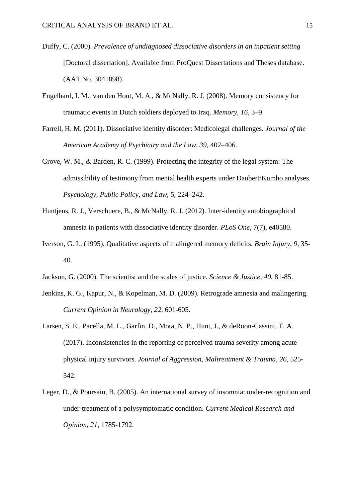- Duffy, C. (2000). *Prevalence of undiagnosed dissociative disorders in an inpatient setting*  [Doctoral dissertation]. Available from ProQuest Dissertations and Theses database. (AAT No. 3041898).
- Engelhard, I. M., van den Hout, M. A., & McNally, R. J. (2008). Memory consistency for traumatic events in Dutch soldiers deployed to Iraq. *Memory*, *16*, 3–9.
- Farrell, H. M. (2011). Dissociative identity disorder: Medicolegal challenges. *Journal of the American Academy of Psychiatry and the Law*, *39*, 402–406.
- Grove, W. M., & Barden, R. C. (1999). Protecting the integrity of the legal system: The admissibility of testimony from mental health experts under Daubert/Kumho analyses. *Psychology, Public Policy, and Law*, 5, 224–242.
- Huntjens, R. J., Verschuere, B., & McNally, R. J. (2012). Inter-identity autobiographical amnesia in patients with dissociative identity disorder. *PLoS One*, 7(7), e40580.
- Iverson, G. L. (1995). Qualitative aspects of malingered memory deficits. *Brain Injury*, *9*, 35- 40.
- Jackson, G. (2000). The scientist and the scales of justice. *Science & Justice*, *40*, 81-85.
- Jenkins, K. G., Kapur, N., & Kopelman, M. D. (2009). Retrograde amnesia and malingering. *Current Opinion in Neurology*, *22*, 601-605.
- Larsen, S. E., Pacella, M. L., Garfin, D., Mota, N. P., Hunt, J., & deRoon-Cassini, T. A. (2017). Inconsistencies in the reporting of perceived trauma severity among acute physical injury survivors. *Journal of Aggression, Maltreatment & Trauma*, *26*, 525- 542.
- Leger, D., & Poursain, B. (2005). An international survey of insomnia: under-recognition and under-treatment of a polysymptomatic condition. *Current Medical Research and Opinion*, *21*, 1785-1792.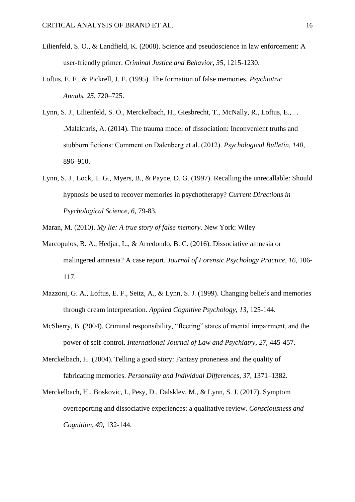- Lilienfeld, S. O., & Landfield, K. (2008). Science and pseudoscience in law enforcement: A user-friendly primer. *Criminal Justice and Behavior*, *35*, 1215-1230.
- Loftus, E. F., & Pickrell, J. E. (1995). The formation of false memories. *Psychiatric Annals*, *25*, 720–725.
- Lynn, S. J., Lilienfeld, S. O., Merckelbach, H., Giesbrecht, T., McNally, R., Loftus, E., . . .Malaktaris, A. (2014). The trauma model of dissociation: Inconvenient truths and stubborn fictions: Comment on Dalenberg et al. (2012). *Psychological Bulletin*, *140*, 896–910.
- Lynn, S. J., Lock, T. G., Myers, B., & Payne, D. G. (1997). Recalling the unrecallable: Should hypnosis be used to recover memories in psychotherapy? *Current Directions in Psychological Science*, *6*, 79-83.
- Maran, M. (2010). *My lie: A true story of false memory*. New York: Wiley
- Marcopulos, B. A., Hedjar, L., & Arredondo, B. C. (2016). Dissociative amnesia or malingered amnesia? A case report. *Journal of Forensic Psychology Practice*, *16*, 106- 117.
- Mazzoni, G. A., Loftus, E. F., Seitz, A., & Lynn, S. J. (1999). Changing beliefs and memories through dream interpretation. *Applied Cognitive Psychology*, *13*, 125-144.
- McSherry, B. (2004). Criminal responsibility, "fleeting" states of mental impairment, and the power of self-control. *International Journal of Law and Psychiatry*, *27*, 445-457.
- Merckelbach, H. (2004). Telling a good story: Fantasy proneness and the quality of fabricating memories. *Personality and Individual Differences*, *37*, 1371–1382.
- Merckelbach, H., Boskovic, I., Pesy, D., Dalsklev, M., & Lynn, S. J. (2017). Symptom overreporting and dissociative experiences: a qualitative review. *Consciousness and Cognition*, *49*, 132-144.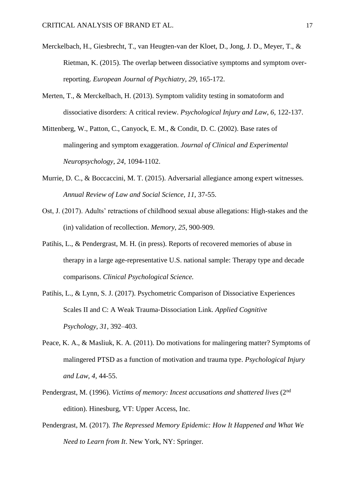- Merckelbach, H., Giesbrecht, T., van Heugten-van der Kloet, D., Jong, J. D., Meyer, T., & Rietman, K. (2015). The overlap between dissociative symptoms and symptom overreporting. *European Journal of Psychiatry*, *29*, 165-172.
- Merten, T., & Merckelbach, H. (2013). Symptom validity testing in somatoform and dissociative disorders: A critical review. *Psychological Injury and Law*, *6*, 122-137.
- Mittenberg, W., Patton, C., Canyock, E. M., & Condit, D. C. (2002). Base rates of malingering and symptom exaggeration. *Journal of Clinical and Experimental Neuropsychology*, *24*, 1094-1102.
- Murrie, D. C., & Boccaccini, M. T. (2015). Adversarial allegiance among expert witnesses. *Annual Review of Law and Social Science*, *11*, 37-55.
- Ost, J. (2017). Adults' retractions of childhood sexual abuse allegations: High-stakes and the (in) validation of recollection. *Memory*, *25*, 900-909.
- Patihis, L., & Pendergrast, M. H. (in press). Reports of recovered memories of abuse in therapy in a large age-representative U.S. national sample: Therapy type and decade comparisons. *Clinical Psychological Science.*
- Patihis, L., & Lynn, S. J. (2017). Psychometric Comparison of Dissociative Experiences Scales II and C: A Weak Trauma‐Dissociation Link. *Applied Cognitive Psychology*, *31*, 392–403.
- Peace, K. A., & Masliuk, K. A. (2011). Do motivations for malingering matter? Symptoms of malingered PTSD as a function of motivation and trauma type. *Psychological Injury and Law*, *4*, 44-55.
- Pendergrast, M. (1996). *Victims of memory: Incest accusations and shattered lives* (2nd edition). Hinesburg, VT: Upper Access, Inc.
- Pendergrast, M. (2017). *The Repressed Memory Epidemic: How It Happened and What We Need to Learn from It*. New York, NY: Springer.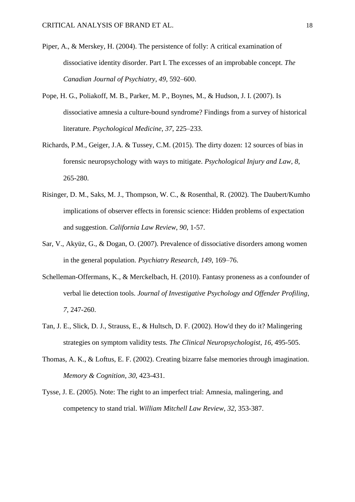- Piper, A., & Merskey, H. (2004). The persistence of folly: A critical examination of dissociative identity disorder. Part I. The excesses of an improbable concept. *The Canadian Journal of Psychiatry*, *49*, 592–600.
- Pope, H. G., Poliakoff, M. B., Parker, M. P., Boynes, M., & Hudson, J. I. (2007). Is dissociative amnesia a culture-bound syndrome? Findings from a survey of historical literature. *Psychological Medicine*, *37*, 225–233.
- Richards, P.M., Geiger, J.A. & Tussey, C.M. (2015). The dirty dozen: 12 sources of bias in forensic neuropsychology with ways to mitigate. *Psychological Injury and Law*, *8*, 265-280.
- Risinger, D. M., Saks, M. J., Thompson, W. C., & Rosenthal, R. (2002). The Daubert/Kumho implications of observer effects in forensic science: Hidden problems of expectation and suggestion. *California Law Review*, *90*, 1-57.
- Sar, V., Akyüz, G., & Dogan, O. (2007). Prevalence of dissociative disorders among women in the general population. *Psychiatry Research*, *149*, 169–76.
- Schelleman-Offermans, K., & Merckelbach, H. (2010). Fantasy proneness as a confounder of verbal lie detection tools. *Journal of Investigative Psychology and Offender Profiling*, *7*, 247-260.
- Tan, J. E., Slick, D. J., Strauss, E., & Hultsch, D. F. (2002). How'd they do it? Malingering strategies on symptom validity tests. *The Clinical Neuropsychologist*, *16*, 495-505.
- Thomas, A. K., & Loftus, E. F. (2002). Creating bizarre false memories through imagination. *Memory & Cognition*, *30*, 423-431.
- Tysse, J. E. (2005). Note: The right to an imperfect trial: Amnesia, malingering, and competency to stand trial. *William Mitchell Law Review*, *32*, 353-387.